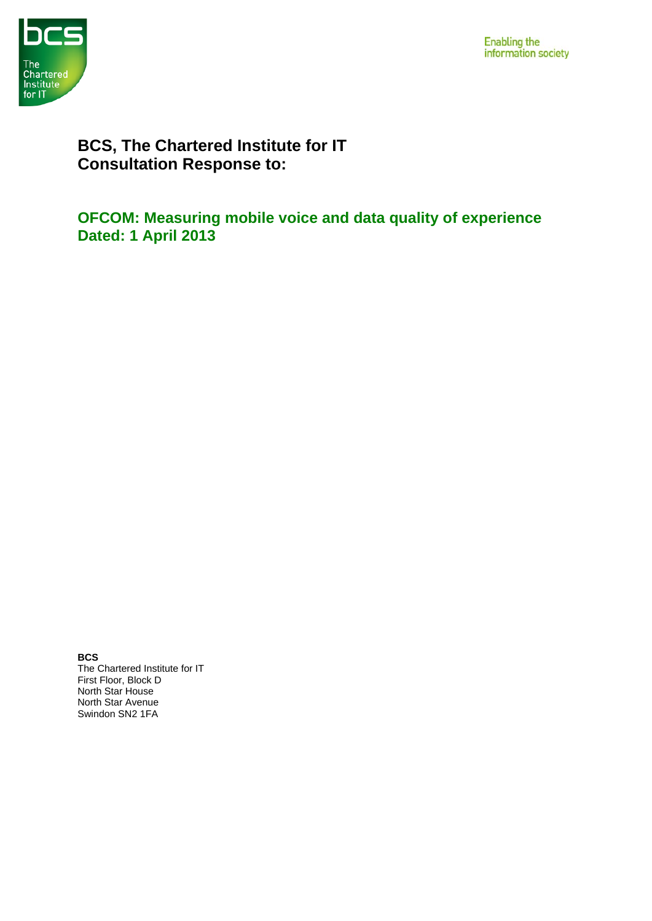



# **BCS, The Chartered Institute for IT Consultation Response to:**

**OFCOM: Measuring mobile voice and data quality of experience Dated: 1 April 2013**

**BCS**  The Chartered Institute for IT First Floor, Block D North Star House North Star Avenue Swindon SN2 1FA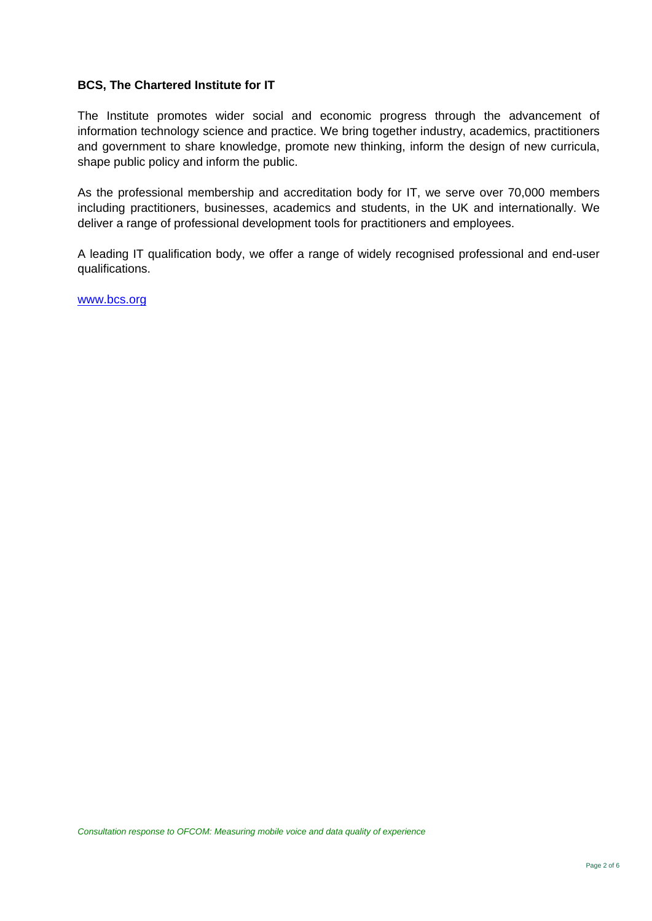## **BCS, The Chartered Institute for IT**

The Institute promotes wider social and economic progress through the advancement of information technology science and practice. We bring together industry, academics, practitioners and government to share knowledge, promote new thinking, inform the design of new curricula, shape public policy and inform the public.

As the professional membership and accreditation body for IT, we serve over 70,000 members including practitioners, businesses, academics and students, in the UK and internationally. We deliver a range of professional development tools for practitioners and employees.

A leading IT qualification body, we offer a range of widely recognised professional and end-user qualifications.

[www.bcs.org](http://www.bcs.org/)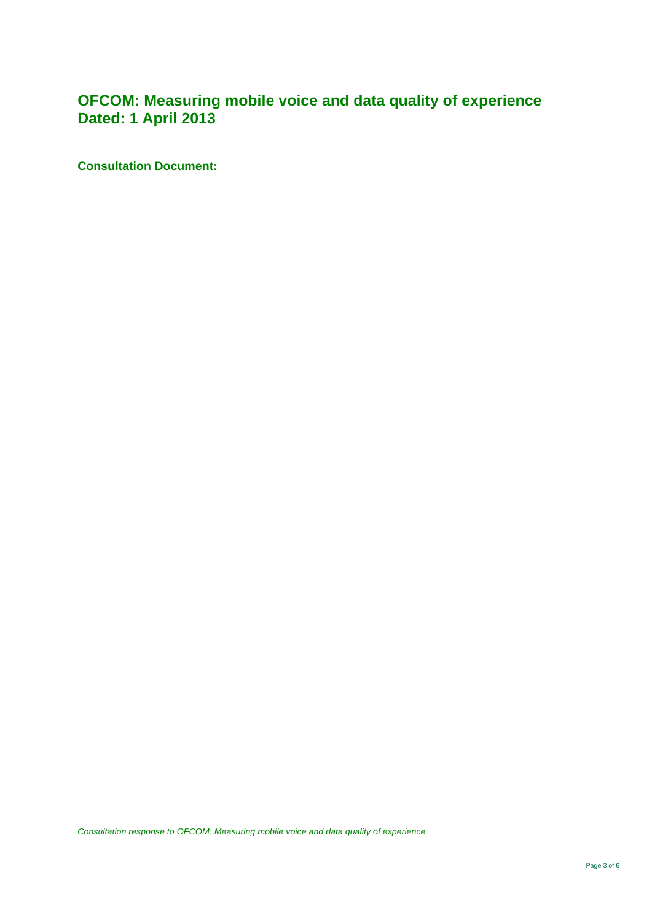# **OFCOM: Measuring mobile voice and data quality of experience Dated: 1 April 2013**

**Consultation Document:** 

*Consultation response to OFCOM: Measuring mobile voice and data quality of experience*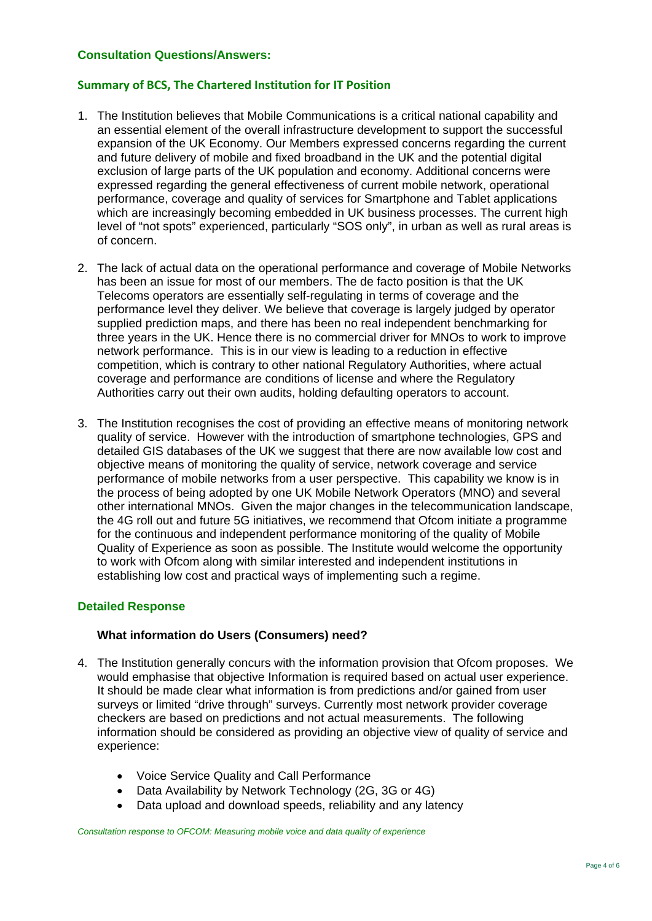#### **Consultation Questions/Answers:**

#### **Summary of BCS, The Chartered Institution for IT Position**

- 1. The Institution believes that Mobile Communications is a critical national capability and an essential element of the overall infrastructure development to support the successful expansion of the UK Economy. Our Members expressed concerns regarding the current and future delivery of mobile and fixed broadband in the UK and the potential digital exclusion of large parts of the UK population and economy. Additional concerns were expressed regarding the general effectiveness of current mobile network, operational performance, coverage and quality of services for Smartphone and Tablet applications which are increasingly becoming embedded in UK business processes. The current high level of "not spots" experienced, particularly "SOS only", in urban as well as rural areas is of concern.
- 2. The lack of actual data on the operational performance and coverage of Mobile Networks has been an issue for most of our members. The de facto position is that the UK Telecoms operators are essentially self-regulating in terms of coverage and the performance level they deliver. We believe that coverage is largely judged by operator supplied prediction maps, and there has been no real independent benchmarking for three years in the UK. Hence there is no commercial driver for MNOs to work to improve network performance. This is in our view is leading to a reduction in effective competition, which is contrary to other national Regulatory Authorities, where actual coverage and performance are conditions of license and where the Regulatory Authorities carry out their own audits, holding defaulting operators to account.
- 3. The Institution recognises the cost of providing an effective means of monitoring network quality of service. However with the introduction of smartphone technologies, GPS and detailed GIS databases of the UK we suggest that there are now available low cost and objective means of monitoring the quality of service, network coverage and service performance of mobile networks from a user perspective. This capability we know is in the process of being adopted by one UK Mobile Network Operators (MNO) and several other international MNOs. Given the major changes in the telecommunication landscape, the 4G roll out and future 5G initiatives, we recommend that Ofcom initiate a programme for the continuous and independent performance monitoring of the quality of Mobile Quality of Experience as soon as possible. The Institute would welcome the opportunity to work with Ofcom along with similar interested and independent institutions in establishing low cost and practical ways of implementing such a regime.

#### **Detailed Response**

### **What information do Users (Consumers) need?**

- 4. The Institution generally concurs with the information provision that Ofcom proposes. We would emphasise that objective Information is required based on actual user experience. It should be made clear what information is from predictions and/or gained from user surveys or limited "drive through" surveys. Currently most network provider coverage checkers are based on predictions and not actual measurements. The following information should be considered as providing an objective view of quality of service and experience:
	- Voice Service Quality and Call Performance
	- Data Availability by Network Technology (2G, 3G or 4G)
	- Data upload and download speeds, reliability and any latency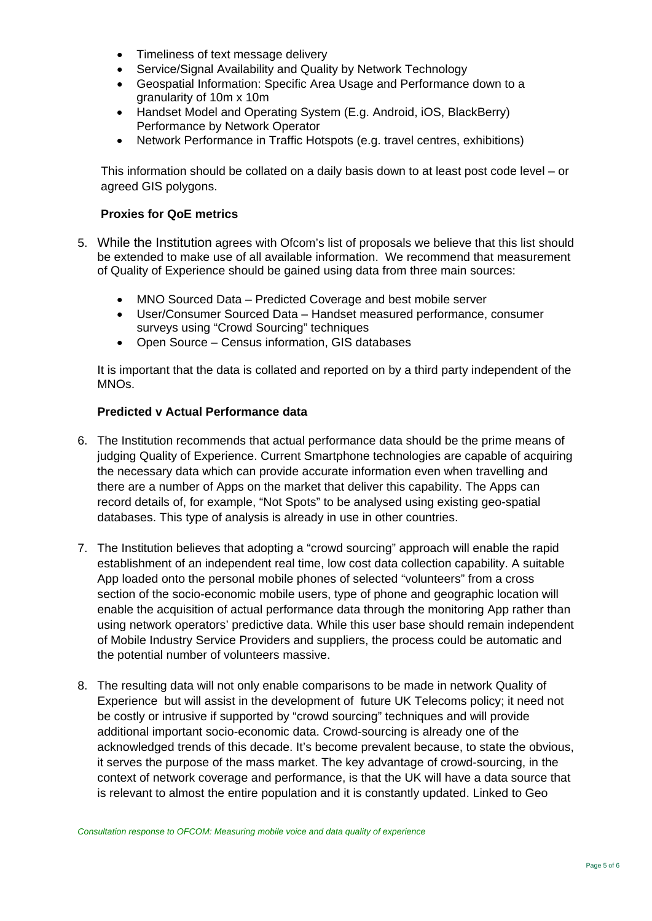- Timeliness of text message delivery
- Service/Signal Availability and Quality by Network Technology
- Geospatial Information: Specific Area Usage and Performance down to a granularity of 10m x 10m
- Handset Model and Operating System (E.g. Android, iOS, BlackBerry) Performance by Network Operator
- Network Performance in Traffic Hotspots (e.g. travel centres, exhibitions)

This information should be collated on a daily basis down to at least post code level – or agreed GIS polygons.

### **Proxies for QoE metrics**

- 5. While the Institution agrees with Ofcom's list of proposals we believe that this list should be extended to make use of all available information. We recommend that measurement of Quality of Experience should be gained using data from three main sources:
	- MNO Sourced Data Predicted Coverage and best mobile server
	- User/Consumer Sourced Data Handset measured performance, consumer surveys using "Crowd Sourcing" techniques
	- Open Source Census information, GIS databases

It is important that the data is collated and reported on by a third party independent of the MNOs.

## **Predicted v Actual Performance data**

- 6. The Institution recommends that actual performance data should be the prime means of judging Quality of Experience. Current Smartphone technologies are capable of acquiring the necessary data which can provide accurate information even when travelling and there are a number of Apps on the market that deliver this capability. The Apps can record details of, for example, "Not Spots" to be analysed using existing geo-spatial databases. This type of analysis is already in use in other countries.
- 7. The Institution believes that adopting a "crowd sourcing" approach will enable the rapid establishment of an independent real time, low cost data collection capability. A suitable App loaded onto the personal mobile phones of selected "volunteers" from a cross section of the socio-economic mobile users, type of phone and geographic location will enable the acquisition of actual performance data through the monitoring App rather than using network operators' predictive data. While this user base should remain independent of Mobile Industry Service Providers and suppliers, the process could be automatic and the potential number of volunteers massive.
- 8. The resulting data will not only enable comparisons to be made in network Quality of Experience but will assist in the development of future UK Telecoms policy; it need not be costly or intrusive if supported by "crowd sourcing" techniques and will provide additional important socio-economic data. Crowd-sourcing is already one of the acknowledged trends of this decade. It's become prevalent because, to state the obvious, it serves the purpose of the mass market. The key advantage of crowd-sourcing, in the context of network coverage and performance, is that the UK will have a data source that is relevant to almost the entire population and it is constantly updated. Linked to Geo